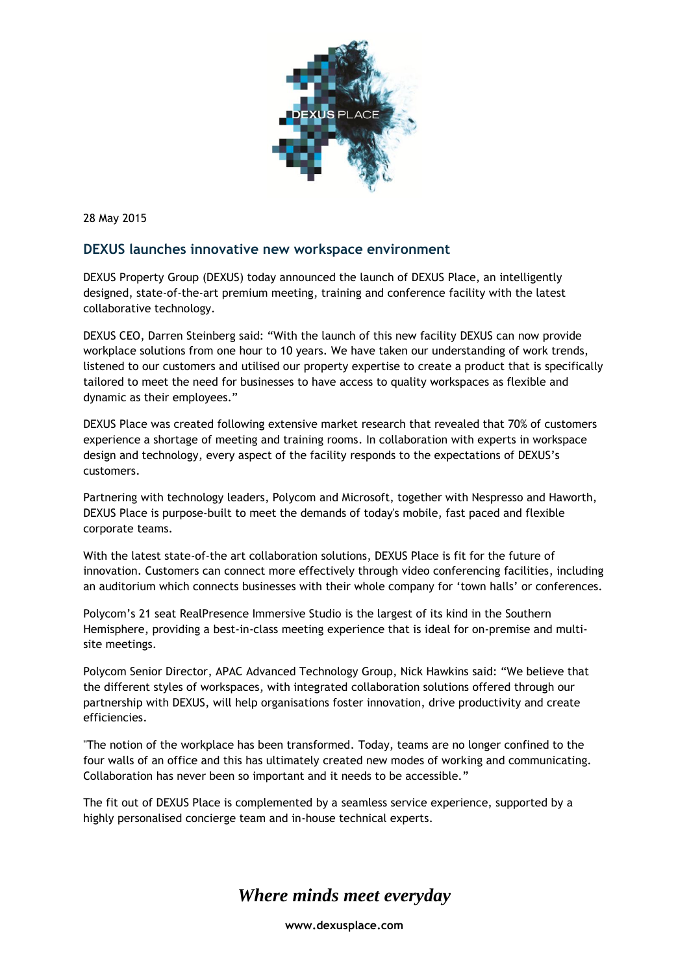

28 May 2015

## **DEXUS launches innovative new workspace environment**

DEXUS Property Group (DEXUS) today announced the launch of DEXUS Place, an intelligently designed, state-of-the-art premium meeting, training and conference facility with the latest collaborative technology.

DEXUS CEO, Darren Steinberg said: "With the launch of this new facility DEXUS can now provide workplace solutions from one hour to 10 years. We have taken our understanding of work trends, listened to our customers and utilised our property expertise to create a product that is specifically tailored to meet the need for businesses to have access to quality workspaces as flexible and dynamic as their employees."

DEXUS Place was created following extensive market research that revealed that 70% of customers experience a shortage of meeting and training rooms. In collaboration with experts in workspace design and technology, every aspect of the facility responds to the expectations of DEXUS's customers.

Partnering with technology leaders, Polycom and Microsoft, together with Nespresso and Haworth, DEXUS Place is purpose-built to meet the demands of today's mobile, fast paced and flexible corporate teams.

With the latest state-of-the art collaboration solutions, DEXUS Place is fit for the future of innovation. Customers can connect more effectively through video conferencing facilities, including an auditorium which connects businesses with their whole company for 'town halls' or conferences.

Polycom's 21 seat RealPresence Immersive Studio is the largest of its kind in the Southern Hemisphere, providing a best-in-class meeting experience that is ideal for on-premise and multisite meetings.

Polycom Senior Director, APAC Advanced Technology Group, Nick Hawkins said: "We believe that the different styles of workspaces, with integrated collaboration solutions offered through our partnership with DEXUS, will help organisations foster innovation, drive productivity and create efficiencies.

"The notion of the workplace has been transformed. Today, teams are no longer confined to the four walls of an office and this has ultimately created new modes of working and communicating. Collaboration has never been so important and it needs to be accessible."

The fit out of DEXUS Place is complemented by a seamless service experience, supported by a highly personalised concierge team and in-house technical experts.

## *Where minds meet everyday*

**www.dexusplace.com**